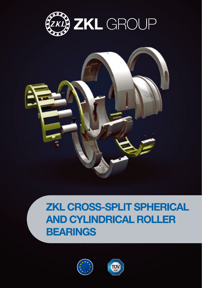



## **ZKL CROSS-SPLIT SPHERICAL AND CYLINDRICAL ROLLER BEARINGS**



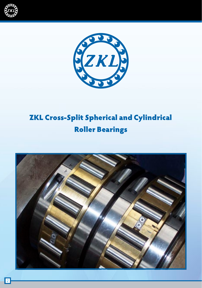



## ZKL Cross-Split Spherical and Cylindrical Roller Bearings

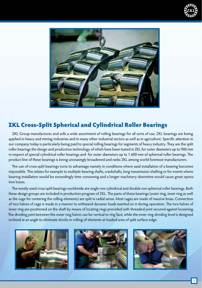



### ZKL Cross-Split Spherical and Cylindrical Roller Bearings

ZKL Group manufactures and sells a wide assortment of rolling bearings for all sorts of use. ZKL bearings are being applied in heavy and mining industries and in many other industrial sectors as well as in agriculture. Specific attention in our company today is particularly being paid to special rolling bearings for segments of heavy industry. They are the split roller bearings the design and production technology of which have been tested in ZKL for outer diameters up to 900 mm in respect of special cylindrical roller bearings and for outer diameters up to 1 600 mm of spherical roller bearings. The product line of these bearings is being unceasingly broadened and ranks ZKL among world foremost manufacturers.

The use of cross-split bearings turns to advantage namely in conditions where axial installation of a bearing becomes impossible. This relates for example to multiple-bearing shafts, crankshafts, long transmission shafting or for events where bearing installation would be exceedingly time consuming and a longer machinery downtime would cause great operation losses.

The mostly used cross-split bearings worldwide are single row cylindrical and double row spherical roller bearings. Both these design groups are included in production program of ZKL. The parts of these bearings (outer ring, inner ring as well as the cage for centering the rolling elements) are split in radial sense. Most cages are made of massive brass. Connection of two halves of cage is made in a manner to withstand dynamic loads exerted on it during operation. The two halves of inner ring are positioned on the shaft by means of locating rings provided with threaded joint secured against loosening. The dividing joint between the outer ring halves can be vertical to ring face, while the inner ring dividing level is designed inclined at an angle to eliminate shocks in rolling of elements at loaded area of split surface edge.





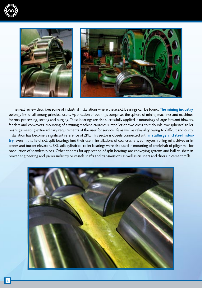



The next review describes some of industrial installations where these ZKL bearings can be found. **The mining industry** belongs first of all among principal users. Application of bearings comprises the sphere of mining machines and machines for rock processing, sorting and purging. These bearings are also successfully applied in mountings of large fans and blowers, feeders and conveyors. Mounting of a mining machine capacious impeller on two cross-split double row spherical roller bearings meeting extraordinary requirements of the user for service life as well as reliability owing to difficult and costly installation has become a significant reference of ZKL. This sector is closely connected with **metallurgy and steel industry**. Even in this field ZKL split bearings find their use in installations of coal crushers, conveyors, rolling mills drives or in cranes and bucket elevators. ZKL split cylindrical roller bearings were also used in mounting of crankshaft of pilger mill for production of seamless pipes. Other spheres for application of split bearings are conveying systems and ball crushers in power engineering and paper industry or vessels shafts and transmissions as well as crushers and driers in cement mills.

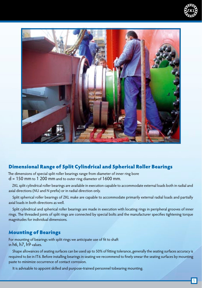



#### Dimensional Range of Split Cylindrical and Spherical Roller Bearings

The dimensions of special split roller bearings range from diameter of inner ring bore  $d = 150$  mm to 1 200 mm and to outer ring diameter of 1600 mm.

ZKL split cylindrical roller bearings are available in execution capable to accommodate external loads both in radial and axial directions (NU and N prefix) or in radial direction only.

Split spherical roller bearings of ZKL make are capable to accommodate primarily external radial loads and partially axial loads in both directions as well.

Split cylindrical and spherical roller bearings are made in execution with locating rings in peripheral grooves of inner rings. The threaded joints of split rings are connected by special bolts and the manufacturer specifies tightening torque magnitudes for individual dimensions.

#### Mounting of Bearings

For mounting of bearings with split rings we anticipate use of fit to shaft in h6, h7, h9 values.

Shape allowances of seating surfaces can be used up to 50% of fitting tolerance, generally the seating surfaces accuracy is required to be in IT6. Before installing bearings in seating we recommend to finely smear the seating surfaces by mounting paste to minimize occurrence of contact corrosion.

It is advisable to appoint skilled and purpose-trained personnel tobearing mounting.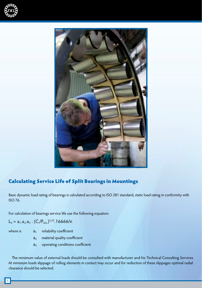



#### Calculating Service Life of Split Bearings in Mountings

Basic dynamic load rating of bearings is calculated according to ISO 281 standard, static load rating in conformity with ISO 76.

For calculation of bearings service life use the following equation:

 $L_h = a_1.a_2.a_3$ .  $(C_r/P_{ekv.})^{3,33}$ . 16666/n

- 
- where is  $a_1$  reliability coefficient
	- $a_2$  material quality coefficient
	- a<sub>3</sub> operating conditions coefficient

The minimum value of external loads should be consulted with manufacturer and his Technical Consulting Services. At minimum loads slippage of rolling elements in contact may occur and for reduction of these slippages optimal radial clearance should be selected.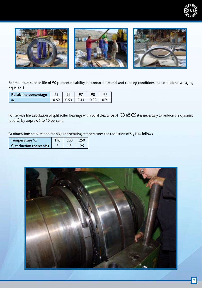



For minimum service life of 90 percent reliability at standard material and running conditions the coefficients  $a_1 a_2 a_3$ equal to 1

| Reliability percentage | 95 |      |      | oα |
|------------------------|----|------|------|----|
| d.                     |    | 0.44 | 0.33 |    |

For service life calculation of split roller bearings with radial clearance of C3 až C5 it is necessary to reduce the dynamic load  $C_r$  by approx. 5 to 10 percent.

At dimensions stabilization for higher operating temperatures the reduction of  $C<sub>r</sub>$  is as follows

| Temperature °C                      |  |  |
|-------------------------------------|--|--|
| C <sub>r</sub> reduction (percents) |  |  |

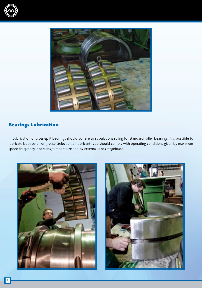



#### Bearings Lubrication

Lubrication of cross-split bearings should adhere to stipulations ruling for standard roller bearings. It is possible to lubricate both by oil or grease. Selection of lubricant type should comply with operating conditions given by maximum speed frequency, operating temperature and by external loads magnitude.



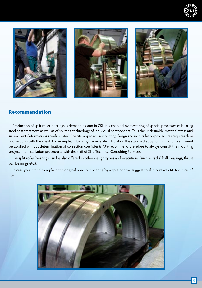



#### Recommendation

Production of split roller bearings is demanding and in ZKL it is enabled by mastering of special processes of bearing steel heat treatment as well as of splitting technology of individual components. Thus the undesirable material stress and subsequent deformations are eliminated. Specific approach in mounting design and in installation procedures requires close cooperation with the client. For example, in bearings service life calculation the standard equations in most cases cannot be applied without determination of correction coefficients. We recommend therefore to always consult the mounting project and installation procedures with the staff of ZKL Technical Consulting Services.

The split roller bearings can be also offered in other design types and executions (such as radial ball bearings, thrust ball bearings etc.).

In case you intend to replace the original non-split bearing by a split one we suggest to also contact ZKL technical office.

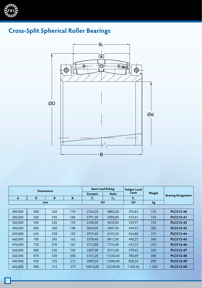

### **Cross-Split Spherical Roller Bearings**



| <b>Dimensions</b> |     |     |                |               | <b>Basic Load Rating</b> | <b>Fatigue Load</b> |                            |                  |  |
|-------------------|-----|-----|----------------|---------------|--------------------------|---------------------|----------------------------|------------------|--|
|                   |     |     | <b>Dynamic</b> | <b>Static</b> | Limit                    | Weight              | <b>Bearing Designation</b> |                  |  |
| $\mathbf d$       | D   | B   | B <sub>1</sub> | C,            | $C_{\rm or}$             | $P_{u}$             |                            |                  |  |
|                   |     | mm  |                |               | kN                       | kN                  | kg                         |                  |  |
|                   |     |     |                |               |                          |                     |                            |                  |  |
| 280,000           | 500 | 260 | 176            | 2764,20       | 4882,50                  | 395,83              | 175                        | PLC512-40        |  |
| 300,000           | 500 | 240 | 160            | 2791,30       | 5096,00                  | 410,01              | 150                        | <b>PLC512-41</b> |  |
| 360,000           | 540 | 220 | 134            | 2340,00       | 4635,00                  | 359,97              | 155                        | <b>PLC512-42</b> |  |
| 400,000           | 600 | 240 | 148            | 3024,00       | 5967,00                  | 449,01              | 205                        | PLC512-43        |  |
| 420,000           | 620 | 238 | 150            | 2937.60       | 6142,50                  | 456.80              | 215                        | <b>PLC512-44</b> |  |
| 460,000           | 700 | 245 | 165            | 3378.40       | 6812,00                  | 490,27              | 340                        | <b>PLC512-45</b> |  |
| 470,000           | 720 | 270 | 167            | 3712.80       | 7725.00                  | 551,73              | 375                        | <b>PLC512-46</b> |  |
| 560,000           | 800 | 230 | 150            | 3507,00       | 8313,00                  | 570,42              | 320                        | <b>PLC512-47</b> |  |
| 560,000           | 870 | 330 | 200            | 5161,20       | 11550.00                 | 780,69              | 580                        | <b>PLC512-48</b> |  |
| 600,000           | 920 | 310 | 212            | 5809,20       | 12480,00                 | 828,24              | 690                        | <b>PLC512-49</b> |  |
| 600,000           | 980 | 515 | 375            | 10816,00      | 22248.00                 | 1459,45             | 1 3 5 0                    | <b>PLC512-50</b> |  |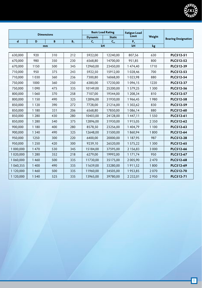

|             |         | <b>Dimensions</b> |       |                               | <b>Basic Load Rating</b> |               |         |                            |  |
|-------------|---------|-------------------|-------|-------------------------------|--------------------------|---------------|---------|----------------------------|--|
|             |         |                   |       | <b>Dynamic</b>                | <b>Static</b>            | Limit         | Weight  | <b>Bearing Designation</b> |  |
| $\mathbf d$ | D       | B                 | $B_1$ | $C_{r}$<br>$C_{\rm or}$<br>kN |                          | $P_u$         |         |                            |  |
|             |         | mm                |       |                               |                          | kN            | kg      |                            |  |
| 630,000     | 920     | 310               | 212   | 5922,00                       | 12240,00                 | 807,56        | 630     | PLC512-51                  |  |
| 670,000     | 980     | 350               | 230   | 6568,80                       | 14700,00                 | 951,85        | 800     | PLC512-52                  |  |
|             |         |                   |       |                               |                          |               |         |                            |  |
| 670,000     | 1150    | 500               | 345   | 12960,00                      | 23450,00                 | 1474,40       | 1710    | PLC512-39                  |  |
| 710,000     | 950     | 375               | 243   | 5922,50                       | 15912,00                 | 1 0 28,46     | 700     | PLC512-53                  |  |
| 710,000     | 1030    | 360               | 236   | 7300,80                       | 16068,00                 | 1023,98       | 880     | PLC512-54                  |  |
| 750,000     | 1000    | 360               | 250   | 6380,00                       | 17230,00                 | 1096,15       | 1220    | PLC512-37                  |  |
| 750,000     | 1090    | 475               | 335   | 10149,00                      | 25200,00                 | 1579,25       | 1 3 0 0 | PLC512-56                  |  |
| 800,000     | 1 0 6 0 | 370               | 258   | 7107,00                       | 19344,00                 | 1 208,34      | 810     | PLC512-57                  |  |
| 800,000     | 1 1 5 0 | 490               | 325   | 12896,00                      | 31930,00                 | 1966,45       | 1980    | PLC512-58                  |  |
| 850,000     | 1 1 2 0 | 390               | 272   | 7728,00                       | 21216,00                 | 1 302,62      | 830     | <b>PLC512-59</b>           |  |
| 850,000     | 1 1 8 0 | 331               | 206   | 6568,80                       | 17850,00                 | 1086,14       | 880     | PLC512-60                  |  |
| 850,000     | 1 2 8 0 | 430               | 280   | 10403,00                      | 24128,00                 | 1447,11       | 1550    | PLC512-61                  |  |
| 850,000     | 1 2 8 0 | 540               | 375   | 12896,00                      | 31930,00                 | 1915,05       | 2 3 5 0 | PLC512-62                  |  |
| 900,000     | 1 1 8 0 | 400               | 280   | 8578,50                       | 23256,00                 | 1404,79       | 1 1 0 0 | PLC512-63                  |  |
| 900,000     | 1 3 4 0 | 490               | 325   | 12648,00                      | 31500,00                 | 1860,94       | 1800    | PLC512-64                  |  |
| 950,000     | 1250    | 300               | 220   | 6400,00                       | 20000,00                 | 1 187,95      | 987     | <b>PLC512-28</b>           |  |
| 950,000     | 1 2 5 0 | 420               | 300   | 9239,10                       | 26520,00                 | 1575,22       | 1 3 0 0 | PLC512-65                  |  |
| 1 000,000   | 1470    | 530               | 345   | 15184,00                      | 37595,00                 | 2 156,83      | 3 0 0 0 | PLC512-66                  |  |
| 1020,000    | 1 2 8 0 | 352               | 218   | 6279,00                       | 19992,00                 | 1 171,74      | 950     | PLC512-67                  |  |
| 1060,000    | 1460    | 500               | 335   | 11730,00                      | 35175,00                 | 2 005,90      | 2470    | PLC512-68                  |  |
| 1 060,355   | 1400    | 490               | 335   | 11639,00                      | 33280,00                 | 1911,52       | 1800    | PLC512-69                  |  |
| 1 120,000   | 1460    | 500               | 335   | 11960,00                      | 34505,00                 | 1953,85       | 2070    | <b>PLC512-70</b>           |  |
| 1 120,000   | 1540    | 525               | 335   | 13965,00                      | 39780,00                 | 2 2 3 2 , 0 1 | 2950    | <b>PLC512-71</b>           |  |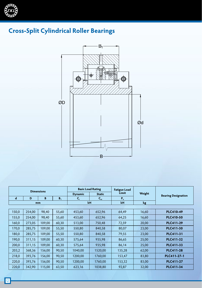

### **Cross-Split Cylindrical Roller Bearings**



| <b>Dimensions</b> |        |        | <b>Basic Load Rating</b> |                | <b>Fatigue Load</b> |        |        |                            |  |
|-------------------|--------|--------|--------------------------|----------------|---------------------|--------|--------|----------------------------|--|
|                   |        |        |                          | <b>Dynamic</b> | <b>Static</b>       | Limit  | Weight | <b>Bearing Designation</b> |  |
| $\mathbf d$       | D      | B      | B <sub>1</sub>           | $C_{r}$        | $C_{\rm or}$        | $P_u$  |        |                            |  |
|                   |        | mm     |                          | kN             |                     | kN     | kg     |                            |  |
|                   |        |        |                          |                |                     |        |        |                            |  |
| 150,0             | 254,00 | 98,40  | 55,60                    | 453,60         | 652,96              | 64,49  | 16,60  | <b>PLC410-49</b>           |  |
| 155,0             | 254,00 | 98,40  | 55,60                    | 453,60         | 652,96              | 64,25  | 16,60  | <b>PLC410-50</b>           |  |
| 160,0             | 273,05 | 109,00 | 60,30                    | 513,00         | 750,48              | 72,59  | 20,00  | <b>PLC411-29</b>           |  |
| 170,0             | 285,75 | 109,00 | 55,50                    | 550,80         | 840,58              | 80,07  | 23,00  | PLC411-30                  |  |
| 180,0             | 285,75 | 109,00 | 55,50                    | 550,80         | 840,58              | 79,55  | 23,00  | PLC411-31                  |  |
| 190,0             | 311,15 | 109,00 | 60,30                    | 575,64         | 935,98              | 86,65  | 25,00  | PLC411-32                  |  |
| 200,0             | 311,15 | 109,00 | 60,30                    | 575,64         | 935,98              | 86,14  | 25,00  | PLC411-33                  |  |
| 203,2             | 368,36 | 156,00 | 90,50                    | 1040,00        | 1520,00             | 135,28 | 62,00  | <b>PLC411-28</b>           |  |
| 218,0             | 393,76 | 156,00 | 90,50                    | 1200,00        | 1760,00             | 153,47 | 83,80  | PLC411-27-1                |  |
| 220,0             | 393,76 | 156,00 | 90,50                    | 1200,00        | 1760,00             | 153,32 | 83,00  | <b>PLC411-27</b>           |  |
| 220,0             | 342,90 | 115,00 | 63,50                    | 623,16         | 1038,80             | 92,87  | 32,00  | <b>PLC411-34</b>           |  |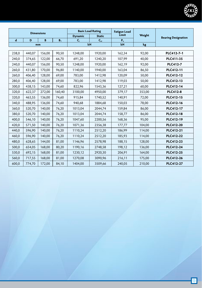

| <b>Dimensions</b> |        |        | <b>Basic Load Rating</b> |                | <b>Fatigue Load</b> |        |        |                            |  |
|-------------------|--------|--------|--------------------------|----------------|---------------------|--------|--------|----------------------------|--|
|                   |        |        |                          | <b>Dynamic</b> | <b>Static</b>       | Limit  | Weight | <b>Bearing Designation</b> |  |
| $\mathbf d$       | D      | B      | B <sub>1</sub>           | $\mathsf{C}_r$ | $C_{\rm or}$        | $P_u$  |        |                            |  |
|                   |        | mm     |                          | kN             |                     | kN     | kg     |                            |  |
|                   | 440,07 |        |                          | 1248,00        |                     |        |        | PLC412-7-1                 |  |
| 238,0             |        | 156,00 | 90,50                    |                | 1920,00             | 162,34 | 92,00  |                            |  |
| 240,0             | 374,65 | 122,00 | 66,70                    | 691,20         | 1240,20             | 107,99 | 40,00  | PLC411-35                  |  |
| 240,0             | 440,07 | 156,00 | 90,50                    | 1248,00        | 1920,00             | 162,19 | 92,00  | <b>PLC412-7</b>            |  |
| 260,0             | 431,80 | 170,00 | 96,80                    | 1140,00        | 1940,00             | 163,04 | 86,50  | PLC412-11                  |  |
| 260,0             | 406,40 | 128,00 | 69,00                    | 783,00         | 1412,98             | 120,09 | 50,00  | PLC412-12                  |  |
| 280,0             | 406,40 | 128,00 | 69,00                    | 783,00         | 1412,98             | 119,03 | 50,00  | PLC412-13                  |  |
| 300,0             | 438,15 | 143,00 | 74,60                    | 822,96         | 1543,36             | 127,21 | 60,00  | <b>PLC412-14</b>           |  |
| 320,0             | 622,37 | 272,00 | 160,40                   | 3100,00        | 4950,00             | 379,17 | 353,00 | <b>PLC412-8</b>            |  |
| 320,0             | 463,55 | 136,00 | 74,60                    | 915,84         | 1740,52             | 140,91 | 72,00  | PLC412-15                  |  |
| 340,0             | 488,95 | 136,00 | 74,60                    | 940,68         | 1884,68             | 150,03 | 78,00  | PLC412-16                  |  |
| 360,0             | 520,70 | 140,00 | 76,20                    | 1013,04        | 2044,74             | 159,84 | 86,00  | PLC412-17                  |  |
| 380,0             | 520,70 | 140,00 | 76,20                    | 1013,04        | 2044,74             | 158,77 | 86,00  | PLC412-18                  |  |
| 400,0             | 546,10 | 140,00 | 76,20                    | 1047,60        | 2200,56             | 168,36 | 95,00  | PLC412-19                  |  |
| 420,0             | 571,50 | 140,00 | 76,20                    | 1071,36        | 2356,38             | 177,77 | 104,00 | <b>PLC412-20</b>           |  |
| 440,0             | 596,90 | 140,00 | 76,20                    | 1110,24        | 2512,20             | 186,99 | 114,00 | <b>PLC412-21</b>           |  |
| 460,0             | 596,90 | 140,00 | 76,20                    | 1110,24        | 2512,20             | 185,93 | 114,00 | <b>PLC412-22</b>           |  |
| 480,0             | 628,65 | 144,00 | 81,00                    | 1146,96        | 2578,98             | 188,15 | 128,00 | PLC412-23                  |  |
| 500,0             | 654,05 | 168,00 | 80,20                    | 1190,16        | 2748,58             | 198,12 | 136,00 | <b>PLC412-24</b>           |  |
| 530,0             | 692,15 | 168,00 | 81,00                    | 1230,12        | 2920,30             | 206,91 | 164,00 | <b>PLC412-25</b>           |  |
| 560,0             | 717,55 | 168,00 | 81,00                    | 1270,08        | 3090,96             | 216,11 | 175,00 | <b>PLC412-26</b>           |  |
| 600,0             | 774,70 | 172,00 | 84,10                    | 1404,00        | 3509,66             | 240,05 | 210,00 | <b>PLC412-27</b>           |  |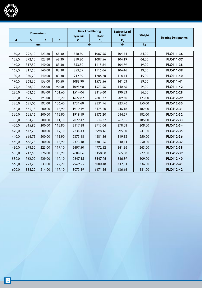

| <b>Dimensions</b> |        | <b>Basic Load Rating</b> |        | <b>Fatigue Load</b> |               |        |                 |                            |  |
|-------------------|--------|--------------------------|--------|---------------------|---------------|--------|-----------------|----------------------------|--|
|                   |        |                          |        | <b>Dynamic</b>      | <b>Static</b> | Limit  | Weight          | <b>Bearing Designation</b> |  |
| $\mathbf d$       | D      | B                        | $B_1$  | $C_{r}$             | $C_{\rm or}$  | $P_u$  |                 |                            |  |
|                   |        | mm                       |        | kN                  |               | kN     | kg <sub>2</sub> |                            |  |
|                   |        |                          |        |                     |               |        |                 |                            |  |
| 150,0             | 292,10 | 123,80                   | 68,30  | 810,30              | 1087,56       | 104,54 | 64,00           | PLC411-36                  |  |
| 155,0             | 292,10 | 123,80                   | 68,30  | 810,30              | 1087,56       | 104,19 | 64,00           | PLC411-37                  |  |
| 160,0             | 317,50 | 140,00                   | 83,30  | 853,59              | 1115,64       | 104,79 | 39,00           | PLC411-38                  |  |
| 165,0             | 317,50 | 140,00                   | 83,30  | 853,59              | 1115,64       | 104,46 | 39,00           | PLC411-39                  |  |
| 180,0             | 330,20 | 140,00                   | 83,30  | 942,39              | 1286,28       | 118,44 | 45,00           | PLC411-40                  |  |
| 190,0             | 368,30 | 156,00                   | 90,50  | 1098,90             | 1573,56       | 141,03 | 59,00           | <b>PLC411-41</b>           |  |
| 195,0             | 368,30 | 156,00                   | 90,50  | 1098,90             | 1573,56       | 140,66 | 59,00           | <b>PLC411-42</b>           |  |
| 280,0             | 463,55 | 186,00                   | 101,60 | 1514,04             | 2316,60       | 190,53 | 86,00           | <b>PLC412-28</b>           |  |
| 300,0             | 495,30 | 193,00                   | 103,20 | 1622,82             | 2601,72       | 209,70 | 123,00          | <b>PLC412-29</b>           |  |
| 320,0             | 527,05 | 192,00                   | 106,40 | 1731,60             | 2831,76       | 223,96 | 150,00          | PLC412-30                  |  |
| 340,0             | 565,15 | 200,00                   | 115,90 | 1919,19             | 3175,20       | 246,18 | 182,00          | PLC412-31                  |  |
| 360,0             | 565,15 | 200,00                   | 115,90 | 1919,19             | 3175,20       | 244,57 | 182,00          | PLC412-32                  |  |
| 380,0             | 584,20 | 200,00                   | 111,10 | 2022,42             | 3514,32       | 267,35 | 186,00          | PLC412-33                  |  |
| 400,0             | 615,95 | 200,00                   | 115,90 | 2117,88             | 3713,04       | 278,08 | 209,00          | PLC412-34                  |  |
| 420,0             | 647,70 | 200,00                   | 119,10 | 2234,43             | 3998,16       | 295,00 | 241,00          | PLC412-35                  |  |
| 440,0             | 666,75 | 200,00                   | 115,90 | 2373,18             | 4381,56       | 319,82 | 250,00          | PLC412-36                  |  |
| 460,0             | 666,75 | 200,00                   | 115,90 | 2373,18             | 4381,56       | 318,11 | 250,00          | PLC412-37                  |  |
| 480,0             | 698,50 | 223,00                   | 119,10 | 2497,50             | 4772,52       | 341,86 | 263,00          | PLC412-38                  |  |
| 500,0             | 717,55 | 226,00                   | 115,90 | 2604,06             | 5158,08       | 365,88 | 272,00          | PLC412-39                  |  |
| 530,0             | 762,00 | 229,00                   | 119,10 | 2847,15             | 5547,96       | 386,59 | 309,00          | PLC412-40                  |  |
| 560,0             | 793,75 | 233,00                   | 122,20 | 2969,25             | 6000,48       | 412,31 | 336,00          | <b>PLC412-41</b>           |  |
| 600,0             | 838,20 | 214,00                   | 119,10 | 3073,59             | 6471,36       | 436,66 | 381,00          | <b>PLC412-42</b>           |  |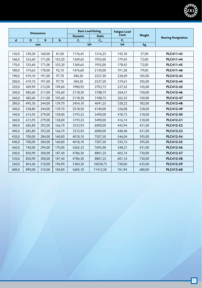

| <b>Dimensions</b> |        | <b>Basic Load Rating</b> |                | <b>Fatigue Load</b> |                 |        |        |                            |  |
|-------------------|--------|--------------------------|----------------|---------------------|-----------------|--------|--------|----------------------------|--|
|                   |        |                          |                | <b>Dynamic</b>      | <b>Static</b>   | Limit  | Weight | <b>Bearing Designation</b> |  |
| $\mathbf d$       | D      | B                        | B <sub>1</sub> | $C_r$               | $C_{\text{or}}$ | $P_u$  |        |                            |  |
|                   |        | mm                       |                |                     | kN              | kN     | kg     |                            |  |
|                   |        |                          |                |                     |                 |        |        |                            |  |
| 150,0             | 330,20 | 160,00                   | 81,00          | 1176,45             | 1516,25         | 142,18 | 57,00  | PLC411-43                  |  |
| 160,0             | 355,60 | 171,00                   | 103,20         | 1369,65             | 1955,00         | 179,45 | 72,00  | <b>PLC411-44</b>           |  |
| 170,0             | 355,60 | 171,00                   | 103,20         | 1369,65             | 1955,00         | 178,42 | 72,00  | PLC411-45                  |  |
| 180,0             | 374,65 | 178,00                   | 92,10          | 1476,60             | 2130,00         | 191,28 | 79,00  | PLC411-46                  |  |
| 190,0             | 419,10 | 191,00                   | 97,70          | 584,20              | 2527,50         | 220,69 | 105,00 | PLC412-43                  |  |
| 200,0             | 419,10 | 191,00                   | 97,70          | 584,20              | 2527,50         | 219,61 | 105,00 | <b>PLC412-44</b>           |  |
| 220,0             | 469,90 | 212,00                   | 109,60         | 1900,95             | 2703,75         | 227,42 | 145,00 | PLC412-45                  |  |
| 240,0             | 482,60 | 211,00                   | 105,60         | 2118,30             | 3188,75         | 264,51 | 150,00 | PLC412-46                  |  |
| 260,0             | 482,60 | 211,00                   | 105,60         | 2118,30             | 3188,75         | 262,35 | 150,00 | <b>PLC412-47</b>           |  |
| 280,0             | 495,30 | 244,00                   | 139,70         | 2454,10             | 4041,25         | 328,22 | 182,00 | PLC412-48                  |  |
| 300,0             | 558,80 | 244,00                   | 139,70         | 2518,50             | 4140,00         | 326,08 | 238,00 | <b>PLC412-49</b>           |  |
| 340,0             | 615,95 | 279,00                   | 158,00         | 3193,55             | 5490,00         | 418,73 | 318,00 | PLC412-50                  |  |
| 360,0             | 615,95 | 279,00                   | 158,00         | 3193,55             | 5490,00         | 416,14 | 318,00 | PLC412-51                  |  |
| 380,0             | 685,80 | 292,00                   | 166,70         | 3533,95             | 6000,00         | 442,94 | 431,00 | PLC412-52                  |  |
| 400,0             | 685,80 | 292,00                   | 166,70         | 3533,95             | 6000,00         | 440,48 | 431,00 | PLC412-53                  |  |
| 420,0             | 700,00 | 284,00                   | 160,00         | 4018,10             | 7507,50         | 546,04 | 395,00 | <b>PLC412-54</b>           |  |
| 440,0             | 700,00 | 284,00                   | 160,00         | 4018,10             | 7507,50         | 543,15 | 395,00 | PLC412-55                  |  |
| 460,0             | 740,00 | 294,00                   | 170,00         | 4265,35             | 7695,00         | 548,21 | 431,00 | <b>PLC412-56</b>           |  |
| 500,0             | 850,90 | 300,00                   | 187,40         | 4786,30             | 8801,25         | 605,14 | 730,00 | PLC412-57                  |  |
| 530,0             | 850,90 | 300,00                   | 187,40         | 4786,30             | 8801,25         | 601,16 | 730,00 | PLC412-58                  |  |
| 560,0             | 863,60 | 310,00                   | 196,90         | 5384,30             | 10638,75        | 720,06 | 635,00 | PLC412-59                  |  |
| 600,0             | 890,00 | 310,00                   | 184,00         | 5605,10             | 11412,50        | 761,94 | 680,00 | <b>PLC412-60</b>           |  |